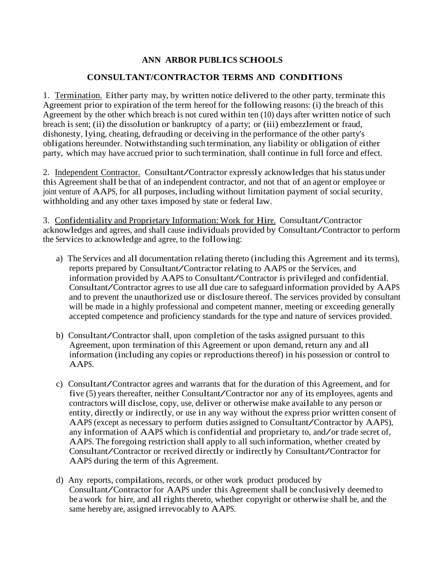## **ANN ARBOR PUBLICS SCHOOLS**

## **CONSULTANT/CONTRACTOR TERMS AND CONDITIONS**

1. Termination. Either party may, by written notice delivered to the other party, terminate this Agreement prior to expiration of the term hereof for the following reasons: (i) the breach of this Agreement by the other which breach is not cured within ten (10) days after written notice of such breach is sent; (ii) the dissolution or bankruptcy of a party; or (iii) embezzlement or fraud, dishonesty, lying, cheating, defrauding or deceiving in the performance of the other party's obligations hereunder. Notwithstanding such termination, any liability or obligation of either party, which may have accrued prior to such termination, shall continue in full force and effect.

2. Independent Contractor. Consultant/Contractor expressly acknowledges that his status under this Agreement shall be that of an independent contractor, and not that of an agent or employee or joint venture of AAPS, for all purposes, including without limitation payment of social security, withholding and any other taxes imposed by state or federal law.

3. Confidentiality and Proprietary Information: Work for Hire. Consultant/Contractor acknowledges and agrees, and shall cause individuals provided by Consultant/Contractor to perform the Services to acknowledge and agree, to the following:

- a) The Services and all documentation relating thereto (including this Agreement and its terms), reports prepared by Consultant/Contractor relating to AAPS or the Services, and information provided by AAPS to Consultant/Contractor is privileged and confidential. Consultant/Contractor agrees to use all due care to safeguard information provided by AAPS and to prevent the unauthorized use or disclosure thereof. The services provided by consultant will be made in a highly professional and competent manner, meeting or exceeding generally accepted competence and proficiency standards for the type and nature of services provided.
- b) Consultant/Contractor shall, upon completion of the tasks assigned pursuant to this Agreement, upon termination of this Agreement or upon demand, return any and all information (including any copies or reproductions thereof) in his possession or control to AAPS.
- c) Consultant/Contractor agrees and warrants that for the duration of this Agreement, and for five (5) years thereafter, neither Consultant/Contractor nor any of its employees, agents and contractors will disclose, copy, use, deliver or otherwise make available to any person or entity, directly or indirectly, or use in any way without the express prior written consent of AAPS (except as necessary to perform duties assigned to Consultant/Contractor by AAPS), any information of AAPS which is confidential and proprietary to, and/or trade secret of, AAPS. The foregoing restriction shall apply to all such information, whether created by Consultant/Contractor or received directly or indirectly by Consultant/Contractor for AAPS during the term of this Agreement.
- d) Any reports, compilations, records, or other work product produced by Consultant/Contractor for AAPS under this Agreement shall be conclusively deemed to be a work for hire, and all rights thereto, whether copyright or otherwise shall be, and the same hereby are, assigned irrevocably to AAPS.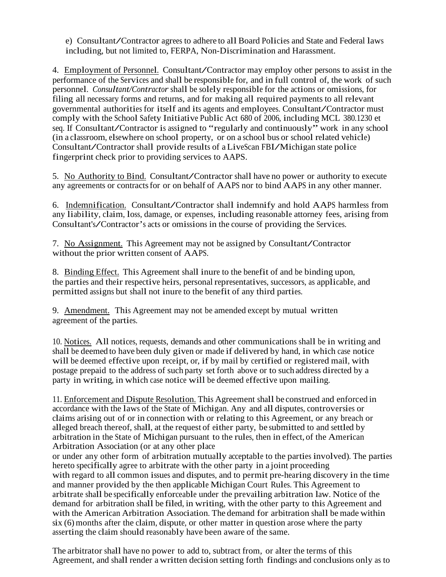e) Consultant/Contractor agrees to adhere to all Board Policies and State and Federal laws including, but not limited to, FERPA, Non-Discrimination and Harassment.

4. Employment of Personnel. Consultant/Contractor may employ other persons to assist in the performance of the Services and shall be responsible for, and in full control of, the work of such personnel. *Consultant/Contractor*shall be solely responsible for the actions or omissions, for filing all necessary forms and returns, and for making all required payments to all relevant governmental authorities for itself and its agents and employees. Consultant/Contractor must comply with the School Safety Initiative Public Act <sup>680</sup> of 2006, including MCL 380.1230 et seq. If Consultant/Contractor is assigned to "regularly and continuously" work in any school (in a classroom, elsewhere on school property, or on a school bus or school related vehicle) Consultant/Contractor shall provide results of aLiveScan FBI/Michigan state police fingerprint check prior to providing services to AAPS.

5. No Authority to Bind. Consultant/Contractor shall have no power or authority to execute any agreements or contractsfor or on behalf of AAPS nor to bind AAPS in any other manner.

6. Indemnification. Consultant/Contractor shall indemnify and hold AAPS harmless from any liability, claim, loss, damage, or expenses, including reasonable attorney fees, arising from Consultant's/Contractor's acts or omissions in the course of providing the Services.

7. No Assignment. This Agreement may not be assigned by Consultant/Contractor without the prior written consent of AAPS.

8. Binding Effect. This Agreement shall inure to the benefit of and be binding upon, the parties and their respective heirs, personal representatives, successors, as applicable, and permitted assigns but shall not inure to the benefit of any third parties.

9. Amendment. This Agreement may not be amended except by mutual written agreement of the parties.

10. Notices. All notices, requests, demands and other communications shall be in writing and shall be deemed to have been duly given or made if delivered by hand, in which case notice will be deemed effective upon receipt, or, if by mail by certified or registered mail, with postage prepaid to the address of such party set forth above or to such address directed by a party in writing, in which case notice will be deemed effective upon mailing.

11. Enforcement and Dispute Resolution. This Agreement shall be construed and enforced in accordance with the laws of the State of Michigan. Any and all disputes, controversies or claims arising out of or in connection with or relating to this Agreement, or any breach or alleged breach thereof, shall, at the request of either party, be submitted to and settled by arbitration in the State of Michigan pursuant to the rules, then in effect, of the American Arbitration Association (or at any other place

or under any other form of arbitration mutually acceptable to the parties involved). The parties hereto specifically agree to arbitrate with the other party in a joint proceeding with regard to all common issues and disputes, and to permit pre-hearing discovery in the time and manner provided by the then applicable Michigan Court Rules. This Agreement to arbitrate shall be specifically enforceable under the prevailing arbitration law. Notice of the demand for arbitration shall be filed, in writing, with the other party to this Agreement and with the American Arbitration Association. The demand for arbitration shall be made within six (6) months after the claim, dispute, or other matter in question arose where the party asserting the claim should reasonably have been aware of the same.

The arbitrator shall have no power to add to, subtract from, or alter the terms of this Agreement, and shall render a written decision setting forth findings and conclusions only as to